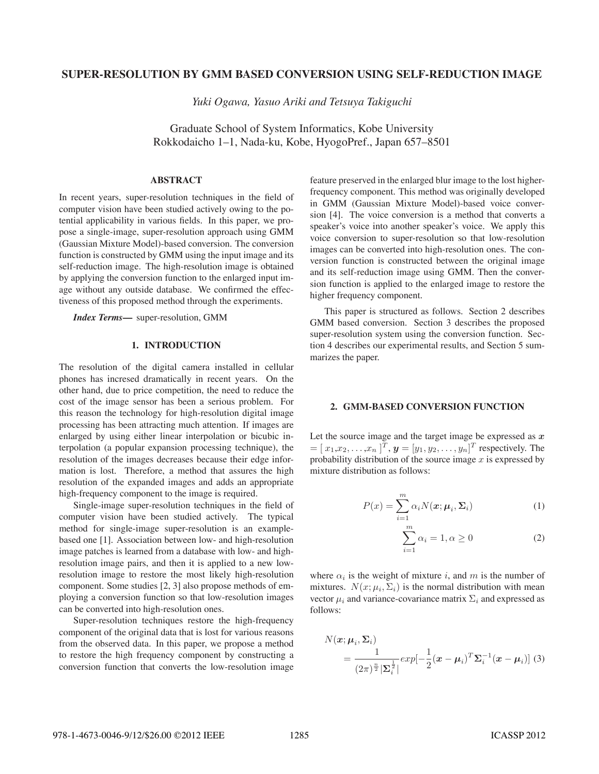# **SUPER-RESOLUTION BY GMM BASED CONVERSION USING SELF-REDUCTION IMAGE**

*Yuki Ogawa, Yasuo Ariki and Tetsuya Takiguchi*

Graduate School of System Informatics, Kobe University Rokkodaicho 1–1, Nada-ku, Kobe, HyogoPref., Japan 657–8501

### **ABSTRACT**

In recent years, super-resolution techniques in the field of computer vision have been studied actively owing to the potential applicability in various fields. In this paper, we propose a single-image, super-resolution approach using GMM (Gaussian Mixture Model)-based conversion. The conversion function is constructed by GMM using the input image and its self-reduction image. The high-resolution image is obtained by applying the conversion function to the enlarged input image without any outside database. We confirmed the effectiveness of this proposed method through the experiments.

*Index Terms***—** super-resolution, GMM

# **1. INTRODUCTION**

The resolution of the digital camera installed in cellular phones has incresed dramatically in recent years. On the other hand, due to price competition, the need to reduce the cost of the image sensor has been a serious problem. For this reason the technology for high-resolution digital image processing has been attracting much attention. If images are enlarged by using either linear interpolation or bicubic interpolation (a popular expansion processing technique), the resolution of the images decreases because their edge information is lost. Therefore, a method that assures the high resolution of the expanded images and adds an appropriate high-frequency component to the image is required.

Single-image super-resolution techniques in the field of computer vision have been studied actively. The typical method for single-image super-resolution is an examplebased one [1]. Association between low- and high-resolution image patches is learned from a database with low- and highresolution image pairs, and then it is applied to a new lowresolution image to restore the most likely high-resolution component. Some studies [2, 3] also propose methods of employing a conversion function so that low-resolution images can be converted into high-resolution ones.

Super-resolution techniques restore the high-frequency component of the original data that is lost for various reasons from the observed data. In this paper, we propose a method to restore the high frequency component by constructing a conversion function that converts the low-resolution image

feature preserved in the enlarged blur image to the lost higherfrequency component. This method was originally developed in GMM (Gaussian Mixture Model)-based voice conversion [4]. The voice conversion is a method that converts a speaker's voice into another speaker's voice. We apply this voice conversion to super-resolution so that low-resolution images can be converted into high-resolution ones. The conversion function is constructed between the original image and its self-reduction image using GMM. Then the conversion function is applied to the enlarged image to restore the higher frequency component.

This paper is structured as follows. Section 2 describes GMM based conversion. Section 3 describes the proposed super-resolution system using the conversion function. Section 4 describes our experimental results, and Section 5 summarizes the paper.

#### **2. GMM-BASED CONVERSION FUNCTION**

Let the source image and the target image be expressed as *x*  $=[x_1, x_2,...,x_n]^T,$   $\mathbf{y} = [y_1, y_2,..., y_n]^T$  respectively. The probability distribution of the source image  $x$  is expressed by mixture distribution as follows:

$$
P(x) = \sum_{i=1}^{m} \alpha_i N(\boldsymbol{x}; \boldsymbol{\mu}_i, \boldsymbol{\Sigma}_i)
$$
 (1)

$$
\sum_{i=1}^{m} \alpha_i = 1, \alpha \ge 0
$$
 (2)

where  $\alpha_i$  is the weight of mixture i, and m is the number of mixtures.  $N(x; \mu_i, \Sigma_i)$  is the normal distribution with mean vector  $\mu_i$  and variance-covariance matrix  $\Sigma_i$  and expressed as follows:

$$
N(\boldsymbol{x}; \boldsymbol{\mu}_i, \boldsymbol{\Sigma}_i)
$$
  
= 
$$
\frac{1}{(2\pi)^{\frac{n}{2}} |\boldsymbol{\Sigma}_i^{\frac{1}{2}}|} exp[-\frac{1}{2}(\boldsymbol{x} - \boldsymbol{\mu}_i)^T \boldsymbol{\Sigma}_i^{-1}(\boldsymbol{x} - \boldsymbol{\mu}_i)]
$$
 (3)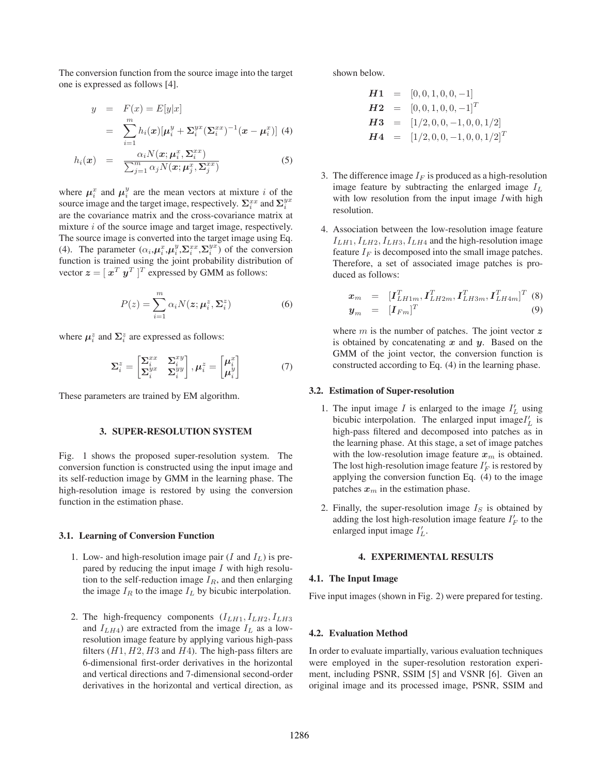The conversion function from the source image into the target one is expressed as follows [4].

$$
y = F(x) = E[y|x]
$$
  
= 
$$
\sum_{i=1}^{m} h_i(x) [\mu_i^y + \Sigma_i^{yx} (\Sigma_i^{xx})^{-1} (x - \mu_i^x)]
$$
 (4)

$$
h_i(\boldsymbol{x}) = \frac{\alpha_i N(\boldsymbol{x}; \boldsymbol{\mu}_i^x, \boldsymbol{\Sigma}_i^{xx})}{\sum_{j=1}^m \alpha_j N(\boldsymbol{x}; \boldsymbol{\mu}_j^x, \boldsymbol{\Sigma}_j^{xx})}
$$
(5)

where  $\mu_i^x$  and  $\mu_i^y$  are the mean vectors at mixture i of the source image and the target image, respectively.  $\sum_i^{xx}$  and  $\sum_i^{yx}$ are the covariance matrix and the cross-covariance matrix at mixture *i* of the source image and target image, respectively. The source image is converted into the target image using Eq. (4). The parameter  $(\alpha_i, \mu_i^x, \mu_i^y, \Sigma_i^{xx}, \Sigma_i^{yx})$  of the conversion function is trained using the joint probability distribution of vector  $\boldsymbol{z} = [\boldsymbol{x}^T \ \boldsymbol{y}^T \ ]^T$  expressed by GMM as follows:

$$
P(z) = \sum_{i=1}^{m} \alpha_i N(\boldsymbol{z}; \boldsymbol{\mu}_i^z, \boldsymbol{\Sigma}_i^z)
$$
 (6)

where  $\mu_i^z$  and  $\Sigma_i^z$  are expressed as follows:

$$
\Sigma_i^z = \begin{bmatrix} \Sigma_i^{xx} & \Sigma_i^{xy} \\ \Sigma_i^{yx} & \Sigma_i^{yy} \end{bmatrix}, \mu_i^z = \begin{bmatrix} \mu_i^x \\ \mu_i^y \end{bmatrix} \tag{7}
$$

These parameters are trained by EM algorithm.

### **3. SUPER-RESOLUTION SYSTEM**

Fig. 1 shows the proposed super-resolution system. The conversion function is constructed using the input image and its self-reduction image by GMM in the learning phase. The high-resolution image is restored by using the conversion function in the estimation phase.

#### **3.1. Learning of Conversion Function**

- 1. Low- and high-resolution image pair ( $I$  and  $I_L$ ) is prepared by reducing the input image  $I$  with high resolution to the self-reduction image  $I_R$ , and then enlarging the image  $I_R$  to the image  $I_L$  by bicubic interpolation.
- 2. The high-frequency components  $(I_{LH1}, I_{LH2}, I_{LH3})$ and  $I_{LH4}$ ) are extracted from the image  $I_L$  as a lowresolution image feature by applying various high-pass filters  $(H1, H2, H3$  and  $H4$ ). The high-pass filters are 6-dimensional first-order derivatives in the horizontal and vertical directions and 7-dimensional second-order derivatives in the horizontal and vertical direction, as

shown below.

$$
H1 = [0, 0, 1, 0, 0, -1]
$$
  
\n
$$
H2 = [0, 0, 1, 0, 0, -1]^T
$$
  
\n
$$
H3 = [1/2, 0, 0, -1, 0, 0, 1/2]
$$
  
\n
$$
H4 = [1/2, 0, 0, -1, 0, 0, 1/2]^T
$$

- 3. The difference image  $I_F$  is produced as a high-resolution image feature by subtracting the enlarged image  $I_L$ with low resolution from the input image I with high resolution.
- 4. Association between the low-resolution image feature  $I_{LH1}, I_{LH2}, I_{LH3}, I_{LH4}$  and the high-resolution image feature  $I_F$  is decomposed into the small image patches. Therefore, a set of associated image patches is produced as follows:

$$
\begin{array}{rcl}\n\bm{x}_{m} & = & [\bm{I}_{LH1m}^{T}, \bm{I}_{LH2m}^{T}, \bm{I}_{LH3m}^{T}, \bm{I}_{LH4m}^{T}]^{T} \tag{8} \\
\bm{y}_{m} & = & [\bm{I}_{Fm}]^{T} \tag{9}\n\end{array}
$$

where *m* is the number of patches. The joint vector  $z$ is obtained by concatenating *x* and *y*. Based on the GMM of the joint vector, the conversion function is constructed according to Eq. (4) in the learning phase.

#### **3.2. Estimation of Super-resolution**

- 1. The input image  $I$  is enlarged to the image  $I'_L$  using bicubic interpolation. The enlarged input image  $I'_L$  is high-pass filtered and decomposed into patches as in the learning phase. At this stage, a set of image patches with the low-resolution image feature  $x_m$  is obtained. The lost high-resolution image feature  $I'_F$  is restored by applying the conversion function Eq. (4) to the image patches  $x_m$  in the estimation phase.
- 2. Finally, the super-resolution image  $I<sub>S</sub>$  is obtained by adding the lost high-resolution image feature  $I'_F$  to the enlarged input image  $I'_L$ .

#### **4. EXPERIMENTAL RESULTS**

#### **4.1. The Input Image**

Five input images (shown in Fig. 2) were prepared for testing.

### **4.2. Evaluation Method**

In order to evaluate impartially, various evaluation techniques were employed in the super-resolution restoration experiment, including PSNR, SSIM [5] and VSNR [6]. Given an original image and its processed image, PSNR, SSIM and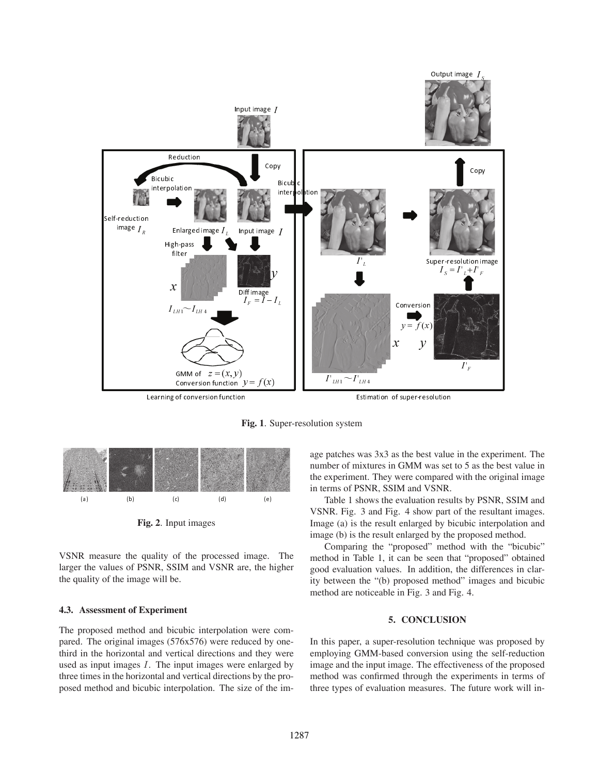

**Fig. 1**. Super-resolution system



**Fig. 2**. Input images

VSNR measure the quality of the processed image. The larger the values of PSNR, SSIM and VSNR are, the higher the quality of the image will be.

# **4.3. Assessment of Experiment**

The proposed method and bicubic interpolation were compared. The original images (576x576) were reduced by onethird in the horizontal and vertical directions and they were used as input images I. The input images were enlarged by three times in the horizontal and vertical directions by the proposed method and bicubic interpolation. The size of the image patches was 3x3 as the best value in the experiment. The number of mixtures in GMM was set to 5 as the best value in the experiment. They were compared with the original image in terms of PSNR, SSIM and VSNR.

Table 1 shows the evaluation results by PSNR, SSIM and VSNR. Fig. 3 and Fig. 4 show part of the resultant images. Image (a) is the result enlarged by bicubic interpolation and image (b) is the result enlarged by the proposed method.

Comparing the "proposed" method with the "bicubic" method in Table 1, it can be seen that "proposed" obtained good evaluation values. In addition, the differences in clarity between the "(b) proposed method" images and bicubic method are noticeable in Fig. 3 and Fig. 4.

# **5. CONCLUSION**

In this paper, a super-resolution technique was proposed by employing GMM-based conversion using the self-reduction image and the input image. The effectiveness of the proposed method was confirmed through the experiments in terms of three types of evaluation measures. The future work will in-